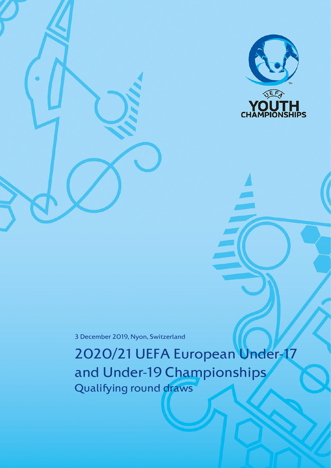

3 December 2019, Nyon, Switzerland

2020/21 UEFA European Under-17 and Under-19 Championships Qualifying round draws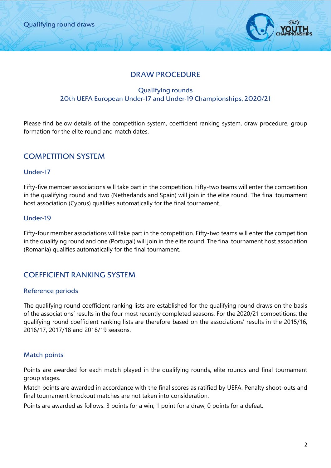

## DRAW PROCEDURE

### Qualifying rounds 20th UEFA European Under-17 and Under-19 Championships, 2020/21

Please find below details of the competition system, coefficient ranking system, draw procedure, group formation for the elite round and match dates.

## COMPETITION SYSTEM

#### Under-17

Fifty-five member associations will take part in the competition. Fifty-two teams will enter the competition in the qualifying round and two (Netherlands and Spain) will join in the elite round. The final tournament host association (Cyprus) qualifies automatically for the final tournament.

### Under-19

Fifty-four member associations will take part in the competition. Fifty-two teams will enter the competition in the qualifying round and one (Portugal) will join in the elite round. The final tournament host association (Romania) qualifies automatically for the final tournament.

## COEFFICIENT RANKING SYSTEM

#### Reference periods

The qualifying round coefficient ranking lists are established for the qualifying round draws on the basis of the associations' results in the four most recently completed seasons*.* For the 2020/21 competitions, the qualifying round coefficient ranking lists are therefore based on the associations' results in the 2015/16, 2016/17, 2017/18 and 2018/19 seasons.

#### Match points

Points are awarded for each match played in the qualifying rounds, elite rounds and final tournament group stages.

Match points are awarded in accordance with the final scores as ratified by UEFA. Penalty shoot-outs and final tournament knockout matches are not taken into consideration.

Points are awarded as follows: 3 points for a win; 1 point for a draw, 0 points for a defeat.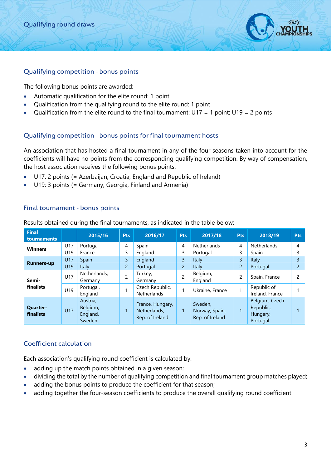

#### Qualifying competition - bonus points

The following bonus points are awarded:

- Automatic qualification for the elite round: 1 point
- Qualification from the qualifying round to the elite round: 1 point
- Qualification from the elite round to the final tournament:  $U17 = 1$  point;  $U19 = 2$  points

#### Qualifying competition - bonus points for final tournament hosts

An association that has hosted a final tournament in any of the four seasons taken into account for the coefficients will have no points from the corresponding qualifying competition. By way of compensation, the host association receives the following bonus points:

- U17: 2 points (= Azerbaijan, Croatia, England and Republic of Ireland)
- U19: 3 points (= Germany, Georgia, Finland and Armenia)

#### Final tournament - bonus points

| <b>Final</b><br>tournaments  |            | 2015/16                                    | <b>Pts</b>     | 2016/17                                             | <b>Pts</b>     | 2017/18                                      | <b>Pts</b>     | 2018/19                                             | <b>Pts</b>     |
|------------------------------|------------|--------------------------------------------|----------------|-----------------------------------------------------|----------------|----------------------------------------------|----------------|-----------------------------------------------------|----------------|
| <b>Winners</b>               | U17        | Portugal                                   | 4              | Spain                                               | 4              | <b>Netherlands</b>                           | 4              | <b>Netherlands</b>                                  | 4              |
|                              | U19        | France                                     | 3              | England                                             | 3              | Portugal                                     | 3              | Spain                                               | 3              |
|                              | <b>U17</b> | Spain                                      | 3              | England                                             | 3              | Italy                                        | 3              | Italy                                               | 3              |
| <b>Runners-up</b>            | U19        | Italy                                      | $\overline{2}$ | Portugal                                            | $\overline{c}$ | Italy                                        | $\overline{c}$ | Portugal                                            | $\overline{2}$ |
| Semi-                        | U17        | Netherlands,<br>Germany                    | $\overline{c}$ | Turkey,<br>Germany                                  | 2              | Belgium,<br>England                          | 2              | Spain, France                                       | $\mathcal{P}$  |
| finalists                    | U19        | Portugal,<br>England                       |                | Czech Republic,<br><b>Netherlands</b>               |                | Ukraine, France                              | 4              | Republic of<br>Ireland, France                      |                |
| <b>Quarter-</b><br>finalists | <b>U17</b> | Austria,<br>Belgium,<br>England,<br>Sweden |                | France, Hungary,<br>Netherlands,<br>Rep. of Ireland | 1              | Sweden,<br>Norway, Spain,<br>Rep. of Ireland | и              | Belgium, Czech<br>Republic,<br>Hungary,<br>Portugal |                |

Results obtained during the final tournaments, as indicated in the table below:

#### Coefficient calculation

Each association's qualifying round coefficient is calculated by:

- adding up the match points obtained in a given season;
- dividing the total by the number of qualifying competition and final tournament group matches played;
- adding the bonus points to produce the coefficient for that season;
- adding together the four-season coefficients to produce the overall qualifying round coefficient.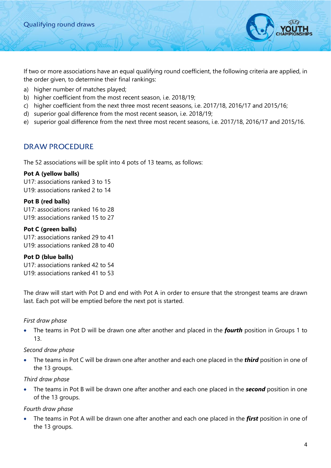If two or more associations have an equal qualifying round coefficient, the following criteria are applied, in the order given, to determine their final rankings:

- a) higher number of matches played;
- b) higher coefficient from the most recent season, i.e. 2018/19;
- c) higher coefficient from the next three most recent seasons, i.e. 2017/18, 2016/17 and 2015/16;
- d) superior goal difference from the most recent season, i.e. 2018/19;
- e) superior goal difference from the next three most recent seasons, i.e. 2017/18, 2016/17 and 2015/16.

### DRAW PROCEDURE

The 52 associations will be split into 4 pots of 13 teams, as follows:

#### **Pot A (yellow balls)**

U17: associations ranked 3 to 15 U19: associations ranked 2 to 14

#### **Pot B (red balls)**

U17: associations ranked 16 to 28 U19: associations ranked 15 to 27

#### **Pot C (green balls)**

U17: associations ranked 29 to 41 U19: associations ranked 28 to 40

#### **Pot D (blue balls)**

U17: associations ranked 42 to 54 U19: associations ranked 41 to 53

The draw will start with Pot D and end with Pot A in order to ensure that the strongest teams are drawn last. Each pot will be emptied before the next pot is started.

#### *First draw phase*

• The teams in Pot D will be drawn one after another and placed in the *fourth* position in Groups 1 to 13.

#### *Second draw phase*

• The teams in Pot C will be drawn one after another and each one placed in the *third* position in one of the 13 groups.

#### *Third draw phase*

• The teams in Pot B will be drawn one after another and each one placed in the *second* position in one of the 13 groups.

#### *Fourth draw phase*

• The teams in Pot A will be drawn one after another and each one placed in the *first* position in one of the 13 groups.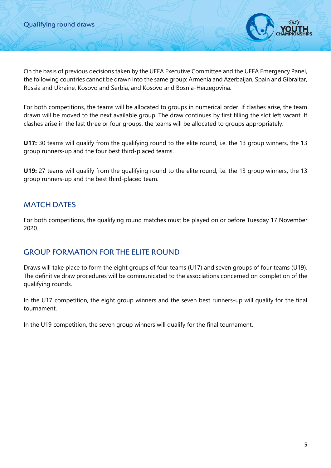On the basis of previous decisions taken by the UEFA Executive Committee and the UEFA Emergency Panel, the following countries cannot be drawn into the same group: Armenia and Azerbaijan, Spain and Gibraltar, Russia and Ukraine, Kosovo and Serbia, and Kosovo and Bosnia-Herzegovina.

For both competitions, the teams will be allocated to groups in numerical order. If clashes arise, the team drawn will be moved to the next available group. The draw continues by first filling the slot left vacant. If clashes arise in the last three or four groups, the teams will be allocated to groups appropriately.

**U17:** 30 teams will qualify from the qualifying round to the elite round, i.e. the 13 group winners, the 13 group runners-up and the four best third-placed teams.

**U19:** 27 teams will qualify from the qualifying round to the elite round, i.e. the 13 group winners, the 13 group runners-up and the best third-placed team.

## MATCH DATES

For both competitions, the qualifying round matches must be played on or before Tuesday 17 November 2020.

## GROUP FORMATION FOR THE ELITE ROUND

Draws will take place to form the eight groups of four teams (U17) and seven groups of four teams (U19). The definitive draw procedures will be communicated to the associations concerned on completion of the qualifying rounds.

In the U17 competition, the eight group winners and the seven best runners-up will qualify for the final tournament.

In the U19 competition, the seven group winners will qualify for the final tournament.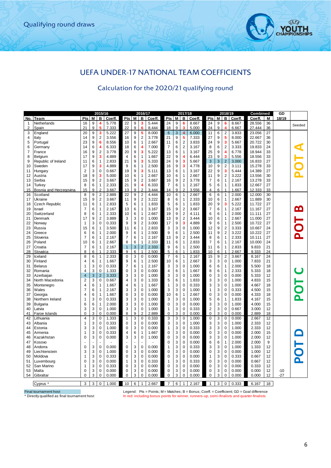

## UEFA UNDER-17 NATIONAL TEAM COEFFICIENTS

# Calculation for the 2020/21 qualifying round

|                |                                               |                |    | 2015/16        |        |                |                | 2016/17        |        |                |   | 2017/18                 |        |                |   | 2018/19        |        | Combined                                                                                    |    | GD    |        |
|----------------|-----------------------------------------------|----------------|----|----------------|--------|----------------|----------------|----------------|--------|----------------|---|-------------------------|--------|----------------|---|----------------|--------|---------------------------------------------------------------------------------------------|----|-------|--------|
| No.            | Team                                          | <b>Pts</b>     | M  | В              | Coeff. | Pts            | М              | В              | Coeff. | Pts            | M | В                       | Coeff. | Pts            | М | в              | Coeff. | Coeff.                                                                                      | М  | 18/19 |        |
| $\mathbf{1}$   | Netherlands                                   | 16             | 9  | 4              | 5.778  | 22             | 9              | 3              | 5.444  | 24             | 9 | 6                       | 8.667  | 24             | 9 | 6              | 8.667  | 28.556                                                                                      | 36 |       | Seeded |
| 2              | Spain                                         | 21             | 9  |                | 7.333  | 22             | 9              | 6              | 8.444  | 18             | 9 | 3                       | 5.000  | 24             | 9 |                | 6.667  | 27.444                                                                                      | 36 |       |        |
| 3              | England                                       | 20             | 9  | 3              | 5.222  | 27             | 9              | 5              | 8.000  | 6              | 3 | $\overline{\mathbf{4}}$ | 6.000  | 11             | 6 | $\overline{2}$ | 3.833  | 23.056                                                                                      | 27 |       |        |
| 4              | Italy                                         | 14             | 9  | $\overline{2}$ | 3.556  | 16             | 9              | $\overline{2}$ | 3.778  | 21             | 9 | 5                       | 7.333  | 27             | 9 | 5              | 8.000  | 22.667                                                                                      | 36 |       |        |
| 5              | Portugal                                      | 23             | 9  | 6              | 8.556  | 10             | 6              | $\mathbf{1}$   | 2.667  | 11             | 6 | $\overline{2}$          | 3.833  | 24             | 9 | 3              | 5.667  | 20.722                                                                                      | 30 |       |        |
| 6              | Germany                                       | 14             | 6  | 4              | 6.333  | 18             | 6              | 4              | 7.000  | 7              | 6 | $\overline{c}$          | 3.167  | 8              | 6 | $\sqrt{2}$     | 3.333  | 19.833                                                                                      | 24 |       |        |
| $\overline{7}$ | France                                        | 16             | 9  | $\overline{2}$ | 3.778  | 20             | 9              | 3              | 5.222  | 13             | 6 | $\mathbf{1}$            | 3.167  | 25             | 9 | 4              | 6.778  | 18.944                                                                                      | 33 |       |        |
| 8              | Belgium                                       | 17             | 9  | 3              | 4.889  | $\overline{4}$ | 6              | $\mathbf{1}$   | 1.667  | 22             | 9 | 4                       | 6.444  | 23             | 9 | 3              | 5.556  | 18.556                                                                                      | 33 |       |        |
| 9              | Republic of Ireland                           | 11             | 6  | $\mathbf{1}$   | 2.833  | 21             | 9              | 3              | 5.333  | 24             | 9 | 3                       | 5.667  | $\mathbf{3}$   | 3 | $\overline{2}$ | 3.000  | 16.833                                                                                      | 27 |       |        |
| 10             | Sweden                                        | 17             | 9  | 3              | 4.889  | 9              | 6              | $\mathbf{1}$   | 2.500  | 16             | 9 | 3                       | 4.778  | 10             | 9 | 2              | 3.111  | 15.278                                                                                      | 33 |       |        |
| 11             | Hungary                                       | $\overline{2}$ | 3  | $\mathbf 0$    | 0.667  | 19             | 9              | 3              | 5.111  | 13             | 6 | $\mathbf{1}$            | 3.167  | 22             | 9 | 3              | 5.444  | 14.389                                                                                      | 27 |       |        |
| 12             | Austria                                       | 18             | 9  | 3              | 5.000  | 10             | 6              | 1              | 2.667  | 10             | 6 | 1                       | 2.667  | 11             | 9 | 2              | 3.222  | 13.556                                                                                      | 30 |       |        |
| 13             | Serbia                                        | 15             | 9  | $\overline{2}$ | 3.667  | 15             | 9              | $\overline{2}$ | 3.667  | 16             | 9 | $\overline{2}$          | 3.778  | $\overline{7}$ | 6 | $\mathbf{1}$   | 2.167  | 13.278                                                                                      | 33 |       |        |
|                |                                               | 8              | 6  | 1              |        | 21             | 9              | 4              | 6.333  | $\overline{7}$ | 6 | $\mathbf{1}$            |        | 5              | 6 | 1              |        |                                                                                             | 27 |       |        |
| 14             | Turkey                                        |                | 9  | $\mathcal{P}$  | 2.333  |                |                |                |        |                |   | 2                       | 2.167  |                |   |                | 1.833  | 12.667                                                                                      |    |       |        |
| 15             | Bosnia and Herzegovina                        | 15             |    |                | 3.667  | 13             | 9              | $\overline{2}$ | 3.444  | 14             | 9 |                         | 3.556  | 4              | 6 |                | 1.667  | 12.333                                                                                      | 33 |       |        |
| 16             | Scotland                                      | 8              | 9  | $\overline{2}$ | 2.889  | 22             | 9              | $\overline{2}$ | 4.444  | 10             | 6 | 1                       | 2.667  | 6              | 6 | 1              | 2.000  | 12.000                                                                                      | 30 |       |        |
| 17             | Ukraine                                       | 15             | 9  | 2              | 3.667  | 11             | 9              | $\overline{2}$ | 3.222  | 8              | 6 | 1                       | 2.333  | 10             | 6 | 1              | 2.667  | 11.889                                                                                      | 30 |       |        |
| 18             | Czech Republic                                | 11             | 6  | 1              | 2.833  | 5              | 6              | $\mathbf{1}$   | 1.833  | 5              | 6 | 1                       | 1.833  | 20             | 9 | 3              | 5.222  | 11.722                                                                                      | 27 |       |        |
| 19             | Israel                                        | $\overline{7}$ | 6  | 1              | 2.167  | 13             | 6              | $\mathbf{1}$   | 3.167  | 15             | 9 | $\overline{2}$          | 3.667  | $\overline{7}$ | 6 | $\mathbf{1}$   | 2.167  | 11.167                                                                                      | 27 |       | മ      |
| 20             | Switzerland                                   | 8              | 6  | 1              | 2.333  | 10             | 6              | $\mathbf{1}$   | 2.667  | 19             | 9 | 2                       | 4.111  | 6              | 6 | 1              | 2.000  | 11.111                                                                                      | 27 |       |        |
| 21             | Denmark                                       | 17             | 9  | $\overline{2}$ | 3.889  | 3              | 3              | $\mathbf 0$    | 1.000  | 13             | 9 | 2                       | 3.444  | 10             | 6 | 1              | 2.667  | 11.000                                                                                      | 27 |       |        |
| 22             | Norway                                        | 1              | 3  | $\mathbf 0$    | 0.333  | 9              | 9              | $\overline{2}$ | 3.000  | 17             | 9 | 3                       | 4.889  | 9              | 6 | 1              | 2.500  | 10.722                                                                                      | 27 |       |        |
| 23             | Russia                                        | 15             | 6  | 1              | 3.500  | 11             | 6              | $\mathbf{1}$   | 2.833  | 3              | 3 | $\Omega$                | 1.000  | 12             | 9 | 2              | 3.333  | 10.667                                                                                      | 24 |       |        |
| 24             | Greece                                        | 6              | 6  | 1              | 2.000  | 9              | 6              | 1              | 2.500  | 9              | 6 | 1                       | 2.500  | 11             | 9 | $\overline{2}$ | 3.222  | 10.222                                                                                      | 27 |       |        |
| 25             | Slovenia                                      | $\overline{7}$ | 6  | 1              | 2.167  | $\overline{7}$ | 6              | 1              | 2.167  | 13             | 9 | $\overline{2}$          | 3.444  | 8              | 6 | 1              | 2.333  | 10.111                                                                                      | 27 |       |        |
| 26             | Poland                                        | 10             | 6  | $\mathbf{1}$   | 2.667  | 8              | 6              | $\mathbf{1}$   | 2.333  | 11             | 6 | 1                       | 2.833  | $\overline{7}$ | 6 | 1              | 2.167  | 10.000                                                                                      | 24 |       |        |
| 27             | Croatia                                       | 7              | 6  | 1              | 2.167  | $\mathbf{1}$   | $\sqrt{3}$     | $\overline{2}$ | 2.333  | 9              | 6 | 1                       | 2.500  | 11             | 6 | 1              | 2.833  | 9.833                                                                                       | 21 |       |        |
| 28             | Slovakia                                      | 8              | 6  | $\overline{1}$ | 2.333  | 9              | $\overline{6}$ | $\overline{1}$ | 2.500  | 5              | 6 | $\mathbf{1}$            | 1.833  | 10             | 6 | 1              | 2.667  | 9.333                                                                                       | 24 |       |        |
| 29             | lceland                                       | 8              | 6  | 1              | 2.333  | 0              | 3              | 0              | 0.000  | $\overline{7}$ | 6 | 1                       | 2.167  | 15             | 9 | 2              | 3.667  | 8.167                                                                                       | 24 |       |        |
| 30             | Finland                                       | 4              | 6  | $\mathbf{1}$   |        | 9              | 6              | 1              | 2.500  | 10             | 6 | 1                       | 2.667  | 3              | 3 | $\Omega$       | 1.000  | 7.833                                                                                       | 21 |       |        |
| 31             | <b>Belarus</b>                                | 1              | 3  | $\mathbf 0$    | 1.667  | 7              | 6              | $\mathbf{1}$   |        | 3              | 3 | $\overline{0}$          |        |                | 6 | 1              | 2.000  | 5.500                                                                                       | 18 |       |        |
|                |                                               |                | 3  |                | 0.333  |                |                |                | 2.167  |                |   |                         | 1.000  | 6              |   |                |        |                                                                                             |    |       |        |
| 32             | Romania                                       | 4              |    | $\mathbf 0$    | 1.333  | $\mathbf 0$    | 3              | $\mathbf 0$    | 0.000  | 4              | 6 | $\mathbf{1}$            | 1.667  | 8              | 6 | 1              | 2.333  | 5.333                                                                                       | 18 |       |        |
| 33             | Azerbaijan                                    | $\overline{4}$ | 3  | $\overline{2}$ | 3.333  | 3              | 3              | $\mathbf 0$    | 1.000  | 3              | 3 | 0                       | 1.000  | $\mathbf 0$    | 3 | 0              | 0.000  | 5.333                                                                                       | 12 |       |        |
| 34             | North Macedonia                               | $\overline{2}$ | 3  | $\mathbf 0$    | 0.667  | 4              | 3              | $\mathbf 0$    | 1.333  | 5              | 6 | 1                       | 1.833  | 3              | 3 | 0              | 1.000  | 4.833                                                                                       | 15 |       |        |
| 35             | Montenegro                                    | $\overline{4}$ | 6  | 1              | 1.667  | 4              | 6              | $\mathbf{1}$   | 1.667  | 1              | 3 | 0                       | 0.333  | 3              | 3 | 0              | 1.000  | 4.667                                                                                       | 18 |       |        |
| 36             | Wales                                         | 7              | 6  | 1              | 2.167  | 3              | 3              | 0              | 1.000  | 3              | 3 | 0                       | 1.000  | 1              | 3 | 0              | 0.333  | 4.500                                                                                       | 15 |       |        |
| 37             | Georgia                                       | $\overline{4}$ | 6  | 1              | 1.667  | 0              | 3              | 0              | 0.000  | 10             | 6 | 1                       | 2.667  | $\mathbf 0$    | 3 | 0              | 0.000  | 4.333                                                                                       | 18 |       | Δ.     |
| 38             | Northern Ireland                              | 1              | 3  | $\mathbf 0$    | 0.333  | 3              | 3              | $\mathbf 0$    | 1.000  | 3              | 3 | 0                       | 1.000  | 5              | 6 | 1              | 1.833  | 4.167                                                                                       | 15 |       |        |
| 39             | <b>Bulgaria</b>                               | 6              | 6  | 1              | 2.000  | 3              | 3              | 0              | 1.000  | 0              | 3 | 0                       | 0.000  | 3              | 3 | 0              | 1.000  | 4.000                                                                                       | 15 |       |        |
| 40             | Latvia                                        | 3              | 3  | 0              | 1.000  | 3              | 3              | 0              | 1.000  | 1              | 3 | 0                       | 0.333  | $\overline{2}$ | 3 | 0              | 0.667  | 3.000                                                                                       | 12 |       |        |
| 41             | Faroe Islands                                 | $\mathbf 0$    | 3  | $\Omega$       | 0.000  | 8              | 9              | $\mathcal{P}$  | 2.889  | $\mathbf 0$    | 3 | $\Omega$                | 0.000  | $\mathbf 0$    | 3 | 0              | 0.000  | 2.889                                                                                       | 18 |       |        |
| 42             | Lithuania                                     | $\overline{4}$ | 3  | 0              | 1.333  | $\overline{1}$ | 3              | 0              | 0.333  | 3              | 3 | 0                       | 1.000  | 0              | 3 | 0              | 0.000  | 2.667                                                                                       | 12 |       |        |
| 43             | Albania                                       | 1              | 3  | $\mathbf 0$    | 0.333  | 0              | 3              | 0              | 0.000  | 3              | 3 | 0                       | 1.000  | 3              | 3 | 0              | 1.000  | 2.333                                                                                       | 12 |       |        |
| 44             | Estonia                                       | 3              | 3  | $\mathbf 0$    | 1.000  | 0              | 3              | 0              | 0.000  | 1              | 3 | 0                       | 0.333  | 3              | 3 | 0              | 1.000  | 2.333                                                                                       | 12 |       |        |
| 45             | Armenia                                       | 1              | 3  | $\mathbf 0$    | 0.333  | 4              | 6              | $\mathbf{1}$   | 1.667  | 0              | 3 | 0                       | 0.000  | $\mathbf 0$    | 3 | 0              | 0.000  | 2.000                                                                                       | 15 |       |        |
| 46             | Kazakhstan                                    | 0              | 3  | $\mathbf 0$    | 0.000  | 3              | 3              | $\mathbf 0$    | 1.000  | 0              | 3 | 0                       | 0.000  | 3              | 3 | 0              | 1.000  | 2.000                                                                                       | 12 |       |        |
| 47             | Kosovo                                        |                | ä, |                |        |                |                |                |        | 0              | 3 | 0                       | 0.000  | 6              | 6 | 1              | 2.000  | 2.000                                                                                       | 9  |       |        |
| 48             | Andorra                                       | 0              | 3  | $\mathbf 0$    | 0.000  | 0              | 3              | $\mathbf 0$    | 0.000  | 1              | 3 | 0                       | 0.333  | 3              | 3 | 0              | 1.000  | 1.333                                                                                       | 12 |       |        |
| 49             | Liechtenstein                                 | 3              | 3  | $\mathbf 0$    | 1.000  | 0              | 3              | 0              | 0.000  | 0              | 3 | 0                       | 0.000  | $\mathbf 0$    | 3 | 0              | 0.000  | 1.000                                                                                       | 12 |       |        |
|                |                                               | 1              | 3  | $\mathbf 0$    |        |                | 3              | $\mathbf 0$    | 0.000  |                | 3 | 0                       |        |                | 3 | 0              |        |                                                                                             | 12 |       |        |
| 50             | Moldova                                       |                |    |                | 0.333  | 0              |                |                |        | 0              |   |                         | 0.000  | 1              |   |                | 0.333  | 0.667                                                                                       |    |       |        |
| 51             | Luxembourg                                    | 0              | 3  | $\mathbf 0$    | 0.000  | 1              | 3              | $\mathbf 0$    | 0.333  | 1              | 3 | 0                       | 0.333  | 0              | 3 | 0              | 0.000  | 0.667                                                                                       | 12 |       |        |
| 52             | San Marino                                    | 1              | 3  | $\mathbf 0$    | 0.333  | 0              | 3              | 0              | 0.000  | 0              | 3 | 0                       | 0.000  | 0              | 3 | 0              | 0.000  | 0.333                                                                                       | 12 |       |        |
| 53             | Malta                                         | 0              | 3  | 0              | 0.000  | 0              | 3              | $\mathbf 0$    | 0.000  | 0              | 3 | 0                       | 0.000  | $\mathbf 0$    | 3 | 0              | 0.000  | 0.000                                                                                       | 12 | $-10$ |        |
| 54             | Gibraltar                                     | 0              | 3  | $\mathbf 0$    | 0.000  | 0              | 3              | $\mathbf 0$    | 0.000  | $\mathbf 0$    | 3 | 0                       | 0.000  | $\mathbf 0$    | 3 | $\Omega$       | 0.000  | 0.000                                                                                       | 12 | $-27$ |        |
|                |                                               |                |    |                |        |                |                |                |        |                |   |                         |        |                |   |                |        |                                                                                             |    |       |        |
|                | Cyprus                                        | 3 <sup>1</sup> |    | $3 \mid 0$     | 1.000  | 10             | 6              | $\mathbf{1}$   | 2.667  | $\overline{7}$ | 6 | $\mathbf{1}$            | 2.167  | $\mathbf{1}$   | 3 | $\pmb{0}$      | 0.333  | 6.167                                                                                       | 18 |       |        |
|                | Final tournament host                         |                |    |                |        |                |                |                |        |                |   |                         |        |                |   |                |        | Legend: Pts = Points; M = Matches; B = Bonus; Coeff. = Coefficient; GD = Goal difference    |    |       |        |
|                | * Directly qualified as final tournament host |                |    |                |        |                |                |                |        |                |   |                         |        |                |   |                |        | In red: including bonus points for winner, runners-up, semi-finalists and quarter-finalists |    |       |        |

Final tournament host Legend: Pts = Points; M = Matches; B = Bonus; Coeff. = Coefficient; GD = Goal difference<br>Correctly qualified as final tournament host https://www.points.for.winner, runners-up, semi-finalists and quar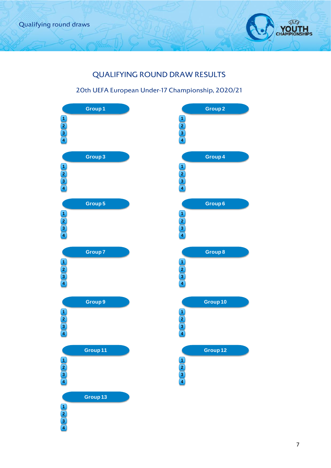

# QUALIFYING ROUND DRAW RESULTS

### 20th UEFA European Under-17 Championship, 2020/21

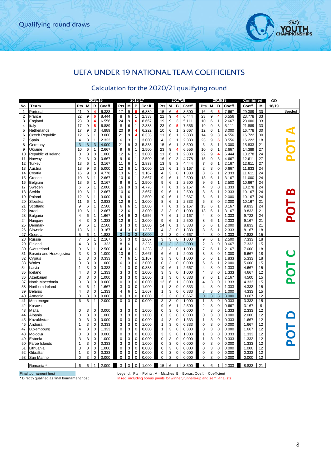

## UEFA UNDER-19 NATIONAL TEAM COEFFICIENTS

### Calculation for the 2020/21 qualifying round

|                |                                               |                |                | 2015/16        |        |                         |   | 2016/17        |                                                                          |                |   | 2017/18      |        |                         |   | 2018/19                 |        | Combined |    | GD    |          |
|----------------|-----------------------------------------------|----------------|----------------|----------------|--------|-------------------------|---|----------------|--------------------------------------------------------------------------|----------------|---|--------------|--------|-------------------------|---|-------------------------|--------|----------|----|-------|----------|
| No.            | Team                                          | <b>Pts</b>     | M              | В              | Coeff. | Pts                     | M | В              | Coeff.                                                                   | Pts            | M | в            | Coeff. | Pts                     | M | в                       | Coeff. | Coeff.   | M  | 18/19 |          |
| $\mathbf{1}$   | Portuga                                       | 21             | 9              |                | 6.333  | 17                      | 9 |                | 6.889                                                                    | 15             | 6 |              | 8.500  | 16                      | 6 |                         | 7.667  | 29.389   | 30 |       | Seeded   |
| $\overline{2}$ | France                                        | 22             | 9              | 6              | 8.444  | 8                       | 6 | 1              | 2.333                                                                    | 22             | 9 | 4            | 6.444  | 23                      | 9 | $\overline{\mathbf{4}}$ | 6.556  | 23.778   | 33 |       |          |
| 3              | England                                       | 23             | 9              | 4              | 6.556  | 24                      | 9 | 6              | 8.667                                                                    | 19             | 9 | 3            | 5.111  | 10                      | 6 | $\mathbf{1}$            | 2.667  | 23.000   | 33 |       |          |
| 4              | Italy                                         | 17             | 9              | 5              | 6.889  | 8                       | 6 | 1              | 2.333                                                                    | 23             | 9 | 5            | 7.556  | 19                      | 9 | 3                       | 5.111  | 21.889   | 33 |       |          |
| 5              | Netherlands                                   | 17             | 9              | 3              | 4.889  | 20                      | 9 | 4              | 6.222                                                                    | 10             | 6 | 1            | 2.667  | 12                      | 6 | $\mathbf{1}$            | 3.000  | 16.778   | 30 |       |          |
| 6              | <b>Czech Republic</b>                         | 12             | 6              | $\mathbf{1}$   | 3.000  | 21                      | 9 | 4              | 6.333                                                                    | 11             | 6 | 1            | 2.833  | 14                      | 9 | 3                       | 4.556  | 16.722   | 30 |       |          |
| 7              | Spain                                         | 4              | 3              | $\mathbf{1}$   | 2.333  | 6                       | 3 | $\mathbf{1}$   | 3.000                                                                    | $\overline{4}$ | 3 | 1            | 2.333  | 23                      | 9 | 6                       | 8.556  | 16.222   | 18 |       |          |
| 8              | Germany                                       | 3              | $\sqrt{3}$     | 3              | 4.000  | 21                      | 9 | 3              | 5.333                                                                    | 15             | 6 | $\mathbf{1}$ | 3.500  | 6                       | 3 | 1                       | 3.000  | 15.833   | 21 |       |          |
| 9              | Ukraine                                       | 10             | 6              | $\overline{1}$ | 2.667  | 9                       | 6 | 1              | 2.500                                                                    | 23             | 9 | 4            | 6.556  | 10                      | 6 | 1                       | 2.667  | 14.389   | 27 |       |          |
| 10             | Republic of Ireland                           | 3              | 3              | $\Omega$       | 1.000  | 12                      | 6 | 1              | 3.000                                                                    | 11             | 6 | 1            | 2.833  | 22                      | 9 | 4                       | 6.444  | 13.278   | 24 |       |          |
| 11             |                                               | $\overline{2}$ | 3              | $\Omega$       | 0.667  | 9                       | 6 | $\mathbf{1}$   | 2.500                                                                    | 16             | 9 | 3            | 4.778  | 15                      | 9 | 3                       | 4.667  | 12.611   | 27 |       |          |
|                | Norway                                        | 13             | 6              | $\mathbf{1}$   |        | 11                      | 6 | $\mathbf{1}$   | 2.833                                                                    | 13             | 9 | 3            | 4.444  | $\overline{7}$          | 6 | 1                       | 2.167  | 12.611   | 27 |       |          |
| 12             | Turkey                                        |                |                |                | 3.167  |                         |   |                |                                                                          |                |   |              |        |                         |   |                         |        |          |    |       |          |
| 13             | Austria                                       | 18             | 9              | 3              | 5.000  | 12                      | 6 | 1              | 3.000                                                                    | 13             | 6 | $\mathbf{1}$ | 3.167  | $\overline{\mathbf{c}}$ | 3 | $\mathbf 0$             | 0.667  | 11.833   | 24 |       |          |
| 14             | Croatia                                       | 16             | 9              | 3              | 4.778  | 13                      | 6 | 1              | 3.167                                                                    | $\overline{4}$ | 3 | 0            | 1.333  | 8                       | 6 | 1                       | 2.333  | 11.611   | 24 |       |          |
| 15             | Greece                                        | 10             | 6              | $\mathbf{1}$   | 2.667  | 10                      | 6 | $\mathbf{1}$   | 2.667                                                                    | 9              | 6 | 1            | 2.500  | 13                      | 6 | $\mathbf{1}$            | 3.167  | 11.000   | 24 |       |          |
| 16             | Belgium                                       | 13             | 6              | $\overline{1}$ | 3.167  | 9                       | 6 | 1              | 2.500                                                                    | 9              | 6 | $\mathbf{1}$ | 2.500  | 9                       | 6 | $\mathbf{1}$            | 2.500  | 10.667   | 24 |       |          |
| 17             | Sweden                                        | 6              | 6              | $\mathbf{1}$   | 2.000  | 16                      | 9 | 3              | 4.778                                                                    | $\overline{7}$ | 6 | 1            | 2.167  | 4                       | 3 | $\mathbf 0$             | 1.333  | 10.278   | 24 |       |          |
| 18             | Serbia                                        | 10             | 6              | $\mathbf{1}$   | 2.667  | 10                      | 6 | 1              | 2.667                                                                    | 9              | 6 | 1            | 2.500  | 8                       | 6 | 1                       | 2.333  | 10.167   | 24 |       | <u>ლ</u> |
| 19             | Poland                                        | 12             | 6              | $\mathbf{1}$   | 3.000  | 9                       | 6 | 1              | 2.500                                                                    | 10             | 6 | 1            | 2.667  | 6                       | 6 | $\mathbf{1}$            | 2.000  | 10.167   | 24 |       |          |
| 20             | Slovakia                                      | 11             | 6              | $\mathbf{1}$   | 2.833  | 12                      | 6 | $\mathbf{1}$   | 3.000                                                                    | 8              | 6 | 1            | 2.333  | 6                       | 3 | $\mathbf 0$             | 2.000  | 10.167   | 21 |       |          |
| 21             | Scotland                                      | 9              | 6              | $\mathbf{1}$   | 2.500  | 6                       | 6 | 1              | 2.000                                                                    | $\overline{7}$ | 6 | 1            | 2.167  | 13                      | 6 | 1                       | 3.167  | 9.833    | 24 |       |          |
| 22             | Israel                                        | 10             | 6              | $\mathbf{1}$   | 2.667  | 12                      | 6 | 1              | 3.000                                                                    | 3              | 3 | 0            | 1.000  | 13                      | 6 | 1                       | 3.167  | 9.833    | 21 |       |          |
| 23             | Bulgaria                                      | 4              | 6              | $\mathbf{1}$   | 1.667  | 14                      | 9 | 3              | 4.556                                                                    | $\overline{7}$ | 6 | $\mathbf{1}$ | 2.167  | 4                       | 3 | $\mathbf 0$             | 1.333  | 9.722    | 24 |       |          |
| 24             | Hungary                                       | 4              | 3              | 0              | 1.333  | 12                      | 6 | 1              | 3.000                                                                    | 9              | 6 | 1            | 2.500  | 8                       | 6 | $\mathbf{1}$            | 2.333  | 9.167    | 21 |       |          |
| 25             | Denmark                                       | 9              | 6              | $\mathbf{1}$   | 2.500  | 3                       | 3 | $\mathbf 0$    | 1.000                                                                    | 14             | 6 | 1            | 3.333  | 6                       | 6 | 1                       | 2.000  | 8.833    | 21 |       |          |
| 26             | Slovenia                                      | 13             | 6              | $\mathbf{1}$   | 3.167  | 4                       | 3 | $\mathbf 0$    | 1.333                                                                    | 4              | 3 | 0            | 1.333  | 8                       | 6 | $\mathbf{1}$            | 2.333  | 8.167    | 18 |       |          |
| 27             | Georgia                                       | 5              | 6              |                | 1.833  | $\overline{3}$          | 3 | 3              | 4.000                                                                    | $\overline{2}$ | 3 | $\Omega$     | 0.667  | $\overline{4}$          | 3 | $\Omega$                | 1.333  | 7.833    | 15 |       |          |
| 28             | Russia                                        | $\overline{7}$ | 6              | $\mathbf{1}$   | 2.167  | 5                       | 3 | $\mathbf 0$    | 1.667                                                                    | 3              | 3 | 0            | 1.000  | 9                       | 6 | $\mathbf{1}$            | 2.500  | 7.333    | 18 |       |          |
| 29             | Finland                                       | 4              | 3              | 0              | 1.333  | 8                       | 6 | 1              | 2.333                                                                    | $\mathbf 0$    | 3 | 3            | 3.000  | 2                       | 3 | 0                       | 0.667  | 7.333    | 15 |       |          |
| 30             | Switzerland                                   | 9              | 6              | $\mathbf{1}$   | 2.500  | $\overline{4}$          | 3 | $\mathbf 0$    | 1.333                                                                    | 3              | 3 | $\mathbf 0$  | 1.000  | $\overline{7}$          | 6 | 1                       | 2.167  | 7.000    | 18 |       |          |
| 31             | Bosnia and Herzegovina                        | 3              | 3              | $\Omega$       | 1.000  | 10                      | 6 | 1              | 2.667                                                                    | 6              | 6 | 1            | 2.000  | 3                       | 3 | $\mathbf 0$             | 1.000  | 6.667    | 18 |       |          |
| 32             | Cyprus                                        | 1              | 3              | $\mathbf 0$    | 0.333  | $\overline{7}$          | 6 | 1              | 2.167                                                                    | 3              | 3 | 0            | 1.000  | 5                       | 6 | $\mathbf{1}$            | 1.833  | 5.333    | 18 |       |          |
| 33             | Wales                                         | 3              |                | $\Omega$       | 1.000  |                         | 3 | $\mathbf 0$    | 2.000                                                                    | $\Omega$       |   | 0            |        |                         |   | $\mathbf{1}$            | 2.000  |          | 15 |       |          |
|                |                                               |                | 3              |                |        | 6                       |   |                |                                                                          |                | 3 |              | 0.000  | 6                       | 6 |                         |        | 5.000    |    |       |          |
| 34             | Latvia                                        | 1              | 3              | $\mathbf 0$    | 0.333  | 1                       | 3 | $\mathbf 0$    | 0.333                                                                    | 10             | 6 | $\mathbf{1}$ | 2.667  | 4                       | 3 | $\mathbf 0$             | 1.333  | 4.667    | 15 |       |          |
| 35             | Iceland                                       | 4              | 3              | $\Omega$       | 1.333  | 3                       | 3 | $\Omega$       | 1.000                                                                    | 3              | 3 | $\mathbf 0$  | 1.000  | 4                       | 3 | 0                       | 1.333  | 4.667    | 12 |       |          |
| 36             | Azerbaijan                                    | 3              | 3              | 0              | 1.000  | 3                       | 3 | $\mathbf 0$    | 1.000                                                                    | 1              | 3 | 0            | 0.333  | $\overline{7}$          | 6 | 1                       | 2.167  | 4.500    | 15 |       | ă        |
| 37             | North Macedonia                               | 0              | 3              | 0              | 0.000  | 0                       | 3 | $\mathbf 0$    | 0.000                                                                    | 12             | 6 | 1            | 3.000  | 4                       | 3 | 0                       | 1.333  | 4.333    | 15 |       |          |
| 38             | Northern Ireland                              | 4              | 6              | $\overline{1}$ | 1.667  | 3                       | 3 | $\mathbf 0$    | 1.000                                                                    | $\mathbf{1}$   | 3 | 0            | 0.333  | 4                       | 3 | $\mathbf 0$             | 1.333  | 4.333    | 15 |       |          |
| 39             | <b>Belarus</b>                                | 4              | 3              | 0              | 1.333  | $\overline{\mathbf{4}}$ | 6 | $\mathbf{1}$   | 1.667                                                                    | $\mathbf{1}$   | 3 | $\mathbf 0$  | 0.333  | 3                       | 3 | $\mathbf 0$             | 1.000  | 4.333    | 15 |       |          |
| 40             | Armenia                                       | $\Omega$       | 3              | $\Omega$       | 0.000  | $\Omega$                | 3 | $\Omega$       | 0.000                                                                    | $\overline{2}$ | 3 | $\Omega$     | 0.667  | $\mathbf{0}$            | 3 | 3                       | 3.000  | 3.667    | 12 |       |          |
| 41             | Montenegro                                    | 6              | 6              | $\mathbf{1}$   | 2.000  | $\mathbf 0$             | 3 | $\mathbf 0$    | 0.000                                                                    | 3              | 3 | 0            | 1.000  | $\mathbf{1}$            | 3 | $\mathbf 0$             | 0.333  | 3.333    | 15 |       |          |
| 42             | Kosovo                                        |                |                |                |        |                         |   |                |                                                                          | 9              | 6 | 1            | 2.500  | 2                       | 3 | 0                       | 0.667  | 3.167    | 9  |       |          |
| 43             | Malta                                         | $\mathbf 0$    | 3              | $\mathbf 0$    | 0.000  | 3                       | 3 | $\mathbf 0$    | 1.000                                                                    | $\mathbf 0$    | 3 | $\mathbf 0$  | 0.000  | 4                       | 3 | $\mathbf 0$             | 1.333  | 2.333    | 12 |       |          |
| 44             | Albania                                       | 3              | 3              | $\mathbf 0$    | 1.000  | 3                       | 3 | $\mathbf 0$    | 1.000                                                                    | 0              | 3 | 0            | 0.000  | 0                       | 3 | $\mathbf 0$             | 0.000  | 2.000    | 12 |       |          |
| 45             | Kazakhstan                                    | 0              | 3              | $\mathbf 0$    | 0.000  | $\mathbf 0$             | 3 | $\mathbf 0$    | 0.000                                                                    | 4              | 3 | 0            | 1.333  | 1                       | 3 | $\mathbf 0$             | 0.333  | 1.667    | 12 |       |          |
| 46             | Andorra                                       | 1              | 3              | $\mathbf 0$    | 0.333  | 3                       | 3 | $\mathbf 0$    | 1.000                                                                    | 1              | 3 | 0            | 0.333  | 0                       | 3 | $\mathbf 0$             | 0.000  | 1.667    | 12 |       |          |
| 47             | Luxembourg                                    | 4              | 3              | $\mathbf 0$    | 1.333  | $\mathbf 0$             | 3 | $\mathbf 0$    | 0.000                                                                    | $\mathbf{1}$   | 3 | 0            | 0.333  | 0                       | 3 | $\mathbf 0$             | 0.000  | 1.667    | 12 |       |          |
| 48             | Moldova                                       | $\Omega$       | 3              | $\Omega$       | 0.000  | 0                       | 3 | $\mathbf 0$    | 0.000                                                                    | 3              | 3 | 0            | 1.000  | 1                       | 3 | $\Omega$                | 0.333  | 1.333    | 12 |       |          |
| 49             | Estonia                                       | 3              | 3              | 0              | 1.000  | 0                       | 3 | $\mathbf 0$    | 0.000                                                                    | $\mathbf 0$    | 3 | $\mathbf 0$  | 0.000  | 1                       | 3 | $\mathbf 0$             | 0.333  | 1.333    | 12 |       |          |
| 50             | Faroe Islands                                 | 1              | 3              | $\Omega$       | 0.333  | 3                       | 3 | $\mathbf 0$    | 1.000                                                                    | $\mathbf 0$    | 3 | 0            | 0.000  | 0                       | 3 | $\Omega$                | 0.000  | 1.333    | 12 |       |          |
| 51             | Lithuania                                     | 3              | 3              | 0              | 1.000  | 0                       | 3 | $\mathbf 0$    | 0.000                                                                    | $\mathbf 0$    | 3 | 0            | 0.000  | 0                       | 3 | 0                       | 0.000  | 1.000    | 12 |       |          |
| 52             | Gibraltar                                     | 1              | 3              | 0              | 0.333  | 0                       | 3 | 0              | 0.000                                                                    | 0              | 3 | 0            | 0.000  | 0                       | 3 | 0                       | 0.000  | 0.333    | 12 |       |          |
| 53             | San Marino                                    | $\Omega$       | 3              | $\mathbf 0$    | 0.000  | $\mathbf 0$             | 3 | $\overline{0}$ | 0.000                                                                    | $\mathbf 0$    | 3 | $\mathbf 0$  | 0.000  | 0                       | 3 | 0                       | 0.000  | 0.000    | 12 |       |          |
|                |                                               |                |                |                |        |                         |   |                |                                                                          |                |   |              |        |                         |   |                         |        |          |    |       |          |
|                | Romania                                       | 6              | 6 <sup>1</sup> | $\mathbf{1}$   | 2.000  | 3                       | 3 | $\mathbf 0$    | 1.000                                                                    | 15             | 6 | $\mathbf{1}$ | 3.500  | 8                       | 6 | $\mathbf{1}$            | 2.333  | 8.833    | 21 |       |          |
|                | Final tournament host                         |                |                |                |        |                         |   |                | Legend: Pts = Points; M = Matches; B = Bonus; Coeff. = Coefficient       |                |   |              |        |                         |   |                         |        |          |    |       |          |
|                | * Directly qualified as final tournament host |                |                |                |        |                         |   |                | In red: including bonus points for winner, runners-up and semi-finalists |                |   |              |        |                         |   |                         |        |          |    |       |          |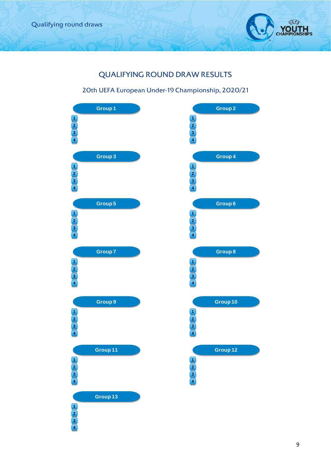

# QUALIFYING ROUND DRAW RESULTS

### 20th UEFA European Under-19 Championship, 2020/21

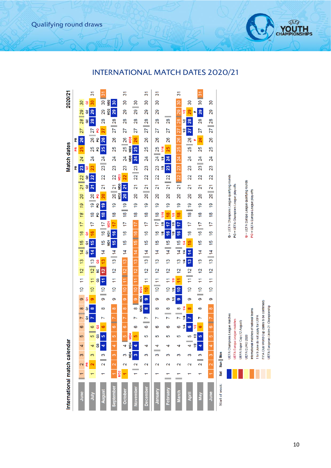Qualifying round draws

# INTERNATIONAL MATCH DATES 2020/21

| International match calendar |                                                      |                              |                |                                             |        |              |                |                                 |                    |                      |                                     |                |                |                                          |                           |                  |                                             |                              |                                  |                                   |                |                 |                          | Match dates     |                   |                 |                 |                       | 2020/21                            |                |
|------------------------------|------------------------------------------------------|------------------------------|----------------|---------------------------------------------|--------|--------------|----------------|---------------------------------|--------------------|----------------------|-------------------------------------|----------------|----------------|------------------------------------------|---------------------------|------------------|---------------------------------------------|------------------------------|----------------------------------|-----------------------------------|----------------|-----------------|--------------------------|-----------------|-------------------|-----------------|-----------------|-----------------------|------------------------------------|----------------|
|                              |                                                      |                              |                |                                             |        |              |                |                                 |                    |                      |                                     |                |                |                                          |                           |                  |                                             |                              |                                  |                                   |                | 뚠               |                          | 운               | 뚠                 |                 |                 |                       |                                    |                |
| June                         | $\overline{ }$                                       | $\overline{\mathcal{L}}$     | က              | 4                                           | မာ     | ဖ            | $\mathsf{r}$   | $\infty$                        | တ                  | $\overline{0}$       | Ξ                                   | $\frac{2}{3}$  | $\frac{3}{2}$  | $\frac{15}{2}$<br>$\overline{4}$         | $\frac{6}{2}$             | 17               | 18                                          | 19                           | 20                               | $\overline{21}$                   | $\overline{2}$ | 23              | 24                       | 25              | 26                | 27              |                 | $28$   29             | 30                                 |                |
| $\frac{2}{3}$                |                                                      | 뚠<br>$\overline{\mathbf{c}}$ | S              | 4                                           | 5      | 6            | ၓ<br>M         | $\overline{\sigma}$<br>$\infty$ | δ<br>ၜ             | $\overline{0}$       | Ξ                                   | $\frac{12}{ }$ | $\frac{3}{2}$  | $\frac{6}{5}$<br>ā<br>$\frac{4}{3}$<br>៵ | $\frac{6}{5}$<br>ō        | 17               | $\frac{8}{1}$                               |                              | $\overline{20}$<br>$\frac{1}{9}$ | ã<br>$\mathbf{z}$                 | 22<br>ã        | 23<br>ទ         | 24                       | 25              | 26                | 77              | 28<br>g         | ã<br>29               | $\overline{30}$<br>ဗ               | 31             |
|                              |                                                      |                              |                | <b>B</b>                                    | ဗ      | ន            |                |                                 |                    |                      | ဗိ                                  | S              | ő              |                                          |                           |                  | p                                           | p                            | ဥ                                |                                   |                |                 |                          | <b>P</b>        | <b>P</b>          | ဥ               |                 |                       |                                    |                |
| August                       | ᠇                                                    | $\sim$                       | 3              | 4                                           | 5      | ဖ            | ľ              | $\infty$                        | စာ                 | $\frac{1}{10}$       | H                                   | 12             | ę,             | $\frac{6}{1}$<br>$\overline{4}$          |                           | $16$   17        | <u>18</u>                                   | 6                            | $\overline{20}$                  | $\overline{\mathbf{2}}$           | 22             |                 | $23$   24                | 25              | 26                | 27              | $\frac{8}{2}$   | 29                    | $\overline{30}$                    | $\frac{8}{3}$  |
| September                    | ÷                                                    | $\mathbf{\tilde{c}}$         | $\infty$       | $\overline{\phantom{a}}$                    | Ю      | ۳<br>$\circ$ |                | $\infty$                        | 0                  | $\overline{0}$       | $\overline{1}$                      | $\frac{12}{2}$ | $13$   14      | ND <sub>1</sub><br>15                    | <b>ND1</b><br><u>16</u>   | 4<br>ND          | $\frac{8}{1}$                               | $\frac{6}{5}$                |                                  | $\overline{2}$<br>$\overline{20}$ | $\overline{2}$ | 23              | $\overline{\mathcal{Z}}$ | 25              | 26                |                 | $27$ 28         | MD <sub>2</sub><br>29 | MD <sub>2</sub><br>30 <sub>o</sub> |                |
|                              | MD <sub>2</sub>                                      |                              |                |                                             |        |              |                |                                 |                    |                      |                                     |                |                |                                          |                           |                  |                                             |                              | <b>SCIM</b>                      | SqlM                              | <b>Sam</b>     |                 |                          |                 |                   |                 |                 |                       |                                    |                |
| <b>October</b>               | ÷                                                    | 2                            | S              | 4                                           | Ю      | <sub>ဖ</sub> |                | $\infty$                        | <sub>ဝာ</sub>      | $\frac{1}{2}$        | 11   12                             |                | $\frac{13}{2}$ | $\frac{6}{5}$<br>$\overline{4}$          | $\frac{6}{2}$             | $\overline{17}$  |                                             | $18$ 19                      | 20 <sub>2</sub>                  | $\overline{21}$                   | $\overline{2}$ | 23              | $\overline{24}$          |                 | $25 \parallel 26$ | $\overline{27}$ | $\frac{8}{2}$   | $\overline{29}$       | 30                                 | ွ              |
|                              |                                                      |                              | MIN4           | MD4                                         | MD4    |              |                |                                 |                    |                      |                                     |                |                |                                          |                           |                  |                                             |                              |                                  |                                   |                |                 | MD <sub>5</sub>          | MD <sub>5</sub> | MD <sub>5</sub>   |                 |                 |                       |                                    |                |
| November                     | $\frac{1}{\tau}$                                     | $\mathbf{\Omega}$            | $\mathfrak{m}$ | 4                                           | 5      | စ            |                | $\infty$                        | $\circ$            | $\frac{1}{2}$        | H                                   | $\frac{1}{2}$  | 13 14          |                                          | 15 16                     | $\overline{11}$  | $\frac{8}{1}$                               | $\frac{6}{5}$                | $\overline{20}$                  | $\overline{\mathbf{S}}$           |                | $22$ 23         | 24                       | 25              | 26                | 27              | $\overline{28}$ |                       | $29$ 30                            |                |
| <b>December</b>              | $\overline{\phantom{0}}$                             | $\mathbf 2$                  | 3              | 4                                           | 5      | စ            | L              | MD6<br>$\infty$                 | <b>MID6</b><br>Ø   | \$<br>ng<br>M        | $\overline{\mathbf{1}}$             | $\frac{2}{3}$  | 13   14        | $\frac{6}{1}$                            | $\frac{6}{2}$             | $\overline{17}$  | $\frac{8}{1}$                               | $\frac{6}{5}$                |                                  | $20$ $21$                         | $\overline{2}$ | 23              | 24                       | 25              | 26                |                 | $27$ 28         | 29                    | 30                                 | స్             |
| January                      | $\overline{\phantom{0}}$                             | $\mathbf 2$                  | $\equiv$<br>3  | 4                                           | 5      | ဖ            | Ľ              | ထ                               | တ                  | $10$   11            |                                     | $\overline{2}$ | <u>ო</u>       | $\frac{6}{1}$<br>$\overline{4}$          | $\frac{6}{5}$             | $\overline{1}$   | $\frac{8}{1}$                               | $\frac{6}{5}$                | 20                               | 21                                | 22             | 23              | $\overline{24}$          | $\frac{25}{2}$  | 26                | 27              | $\frac{8}{2}$   | 29                    | 30                                 | 31             |
| February                     | ᠇                                                    | 2                            | 3              | 4                                           | 5      | 6            |                | 8                               | თ                  | $\overline{a}$       | $\overline{\mathcal{L}}$            | $\frac{2}{3}$  | 13             | $14$   15                                | $\frac{6}{5}$<br>1/8      | <u>1/8</u><br>17 | 1/16<br>$\frac{8}{2}$                       | <u>io</u>                    | 20                               | $\overline{2}$                    | $\overline{2}$ | 23<br><u>18</u> | 24<br><u>51</u>          | 1/16<br>25      | 26                | 27              | $\overline{28}$ |                       |                                    |                |
| <b>March</b>                 | $\overline{\phantom{0}}$<br>$\overline{\phantom{a}}$ | $\mathbf 2$                  | S              | 4                                           | 5      | စ            |                | œ                               | $\frac{1}{8}$<br>ၜ | $\frac{1}{2}$<br>1/8 | H<br><u>1/8</u>                     | $\overline{2}$ | $\frac{3}{2}$  | $14$   15                                | $\frac{6}{5}$<br><b>a</b> | 1/8<br>17        | $\frac{8}{3}$<br><u>1/8</u>                 | $\frac{1}{2}$                | 20                               | $\overline{21}$                   | <b>22</b>      | 23              | 24                       | $\frac{15}{25}$ | 26                | 27              |                 | 28 29                 | $\frac{30}{2}$                     | <u>रू</u>      |
|                              |                                                      |                              |                |                                             |        | 14           | $\frac{4}{3}$  | 별                               |                    |                      |                                     |                | $\frac{4}{3}$  | ₹<br>$\frac{4}{3}$                       |                           |                  |                                             |                              |                                  |                                   |                |                 |                          |                 |                   | 1/2             | 1/2             | 12                    |                                    |                |
| April                        |                                                      | 2                            | 3              | 4                                           | 5      | $\bullet$    | N              | $\infty$                        | တ                  | $\overline{0}$       | $\frac{12}{2}$<br>$\overline{\tau}$ |                | $\frac{3}{2}$  | 15<br>14                                 | $\frac{6}{5}$             | 17               |                                             | <u>67</u><br>$\frac{18}{18}$ | 20                               | $\tilde{2}$                       | 22             | 23              | $\overline{\mathcal{Z}}$ | 25              | $\frac{26}{ }$    | 27              | 28              | 29                    | 30                                 |                |
| Nay                          |                                                      | $\mathbf{\Omega}$            | 3              | 1/2<br>4                                    | ₽<br>5 | 12<br>ဖ      | $\overline{ }$ | $\infty$                        | တ                  | $\frac{1}{10}$       | Ξ                                   | $\overline{2}$ | $\frac{3}{2}$  | $\frac{6}{5}$<br>$\overline{4}$          |                           | $16$    17       | $\frac{8}{1}$                               | $\frac{6}{5}$                | $\overline{20}$                  | $\overline{2}$                    | 22             |                 | $23$   24                | 25              | 26                | 27              | 28              | 29<br>щ               | 30                                 | $\frac{8}{10}$ |
| June                         |                                                      | $\overline{\mathbf{c}}$      | $\infty$       | 4                                           | LÇ,    | -<br>ဖ       | r              | $\infty$                        | 6                  | $\overline{0}$       | Ξ                                   | 12             | 13   14        | $\frac{6}{1}$                            | $\frac{6}{2}$             | 17               | $\frac{8}{1}$                               | $\frac{6}{5}$                | 20                               | $\frac{21}{2}$                    | 22             | 23              | $\overline{24}$          | 25              | 26                |                 | $27$   28       | 29                    | 80                                 |                |
| Start of week:               | <b>Sat</b>                                           | Sun   Mon                    |                |                                             |        |              |                |                                 |                    |                      |                                     |                |                |                                          |                           |                  |                                             |                              |                                  |                                   |                |                 |                          |                 |                   |                 |                 |                       |                                    |                |
|                              |                                                      |                              |                | UEFA Champions League matches               |        |              |                |                                 |                    |                      |                                     |                |                |                                          |                           |                  | Q = UEFA Champions League qualifying rounds |                              |                                  |                                   |                |                 |                          |                 |                   |                 |                 |                       |                                    |                |
|                              |                                                      |                              |                | UEFA Europa League matches                  |        |              |                |                                 |                    |                      |                                     |                |                |                                          |                           |                  | PO = UEFA Champions League play-offs        |                              |                                  |                                   |                |                 |                          |                 |                   |                 |                 |                       |                                    |                |
|                              |                                                      |                              |                | UEFA Super Cup (12 August)                  |        |              |                |                                 |                    |                      |                                     |                |                |                                          |                           |                  |                                             |                              |                                  |                                   |                |                 |                          |                 |                   |                 |                 |                       |                                    |                |
|                              |                                                      |                              |                | UEFA EURO 2020                              |        |              |                |                                 |                    |                      |                                     |                |                |                                          |                           |                  | Q = UEFA Europa League qualifying rounds    |                              |                                  |                                   |                |                 |                          |                 |                   |                 |                 |                       |                                    |                |
|                              |                                                      |                              |                | International matches of national teams     |        |              |                |                                 |                    |                      |                                     |                |                |                                          |                           |                  | PO = UEFA Europa League play-offs           |                              |                                  |                                   |                |                 |                          |                 |                   |                 |                 |                       |                                    |                |
|                              |                                                      |                              |                | 1 to 9 June do not apply for UEFA           |        |              |                |                                 |                    |                      |                                     |                |                |                                          |                           |                  |                                             |                              |                                  |                                   |                |                 |                          |                 |                   |                 |                 |                       |                                    |                |
|                              |                                                      |                              |                | FIFA Club World Cup (dates to be confirmed) |        |              |                |                                 |                    |                      |                                     |                |                |                                          |                           |                  |                                             |                              |                                  |                                   |                |                 |                          |                 |                   |                 |                 |                       |                                    |                |
|                              |                                                      |                              |                | UEFA European Under-21 Championship         |        |              |                |                                 |                    |                      |                                     |                |                |                                          |                           |                  |                                             |                              |                                  |                                   |                |                 |                          |                 |                   |                 |                 |                       |                                    |                |

bs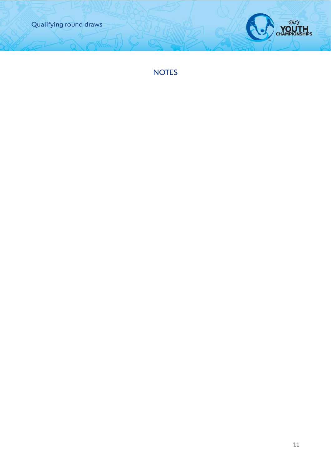



NOTES